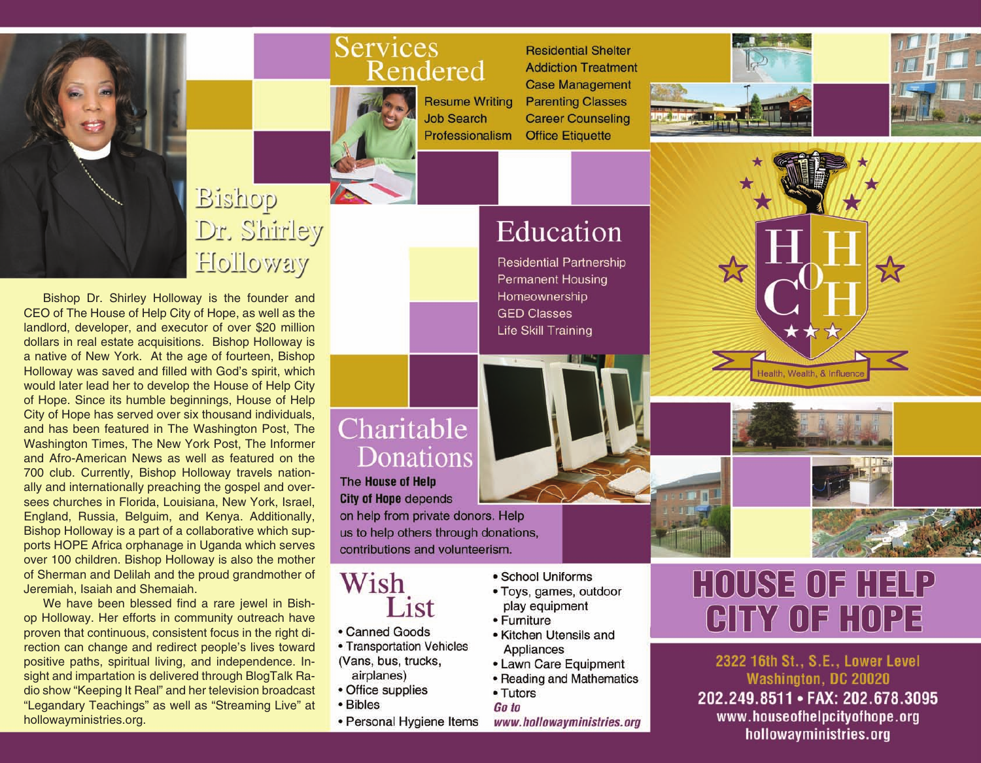

# Bishop Dr. Shirley Holloway

Bishop Dr. Shirley Holloway is the founder and CEO of The House of Help City of Hope, as well as the landlord, developer, and executor of over \$20 million dollars in real estate acquisitions. Bishop Holloway is a native of New York. At the age of fourteen, Bishop Holloway was saved and filled with God's spirit, which would later lead her to develop the House of Help City of Hope. Since its humble beginnings, House of Help City of Hope has served over six thousand individuals. and has been featured in The Washington Post, The Washington Times, The New York Post, The Informer and Afro-American News as well as featured on the 700 club. Currently, Bishop Holloway travels nationally and internationally preaching the gospel and oversees churches in Florida, Louisiana, New York, Israel, England, Russia, Belguim, and Kenya. Additionally, Bishop Holloway is a part of a collaborative which supports HOPE Africa orphanage in Uganda which serves over 100 children. Bishop Holloway is also the mother of Sherman and Delilah and the proud grandmother of Jeremiah, Isaiah and Shemaiah.

We have been blessed find a rare jewel in Bishop Holloway. Her efforts in community outreach have proven that continuous, consistent focus in the right direction can change and redirect people's lives toward positive paths, spiritual living, and independence. Insight and impartation is delivered through BlogTalk Radio show "Keeping It Real" and her television broadcast "Legandary Teachings" as well as "Streaming Live" at hollowayministries.org.

#### **Services** Rendered



**Resume Writing Job Search** Professionalism

**Residential Shelter Addiction Treatment Case Management Parenting Classes Career Counseling Office Etiquette** 





## Education

**Residential Partnership Permanent Housing** Homeownership **GED Classes** Life Skill Training

### Charitable Donations

The House of Help **City of Hope depends** 

on help from private donors. Help us to help others through donations, contributions and volunteerism.



- Canned Goods
- Transportation Vehicles (Vans, bus, trucks, airplanes)
- Office supplies
- Bibles
- Personal Hygiene Items
- School Uniforms
- Toys, games, outdoor play equipment
- Furniture
- Kitchen Utensils and Appliances
- Lawn Care Equipment
- Reading and Mathematics • Tutors

Go to

www.hollowayministries.org

# **HOUSE OF HELP** GITY OF HOPE

Health, Wealth, & Influer

2322 16th St., S.E., Lower Level Washington, DC 20020

202.249.8511 · FAX: 202.678.3095 www.houseofhelpcityofhope.org hollowayministries.org